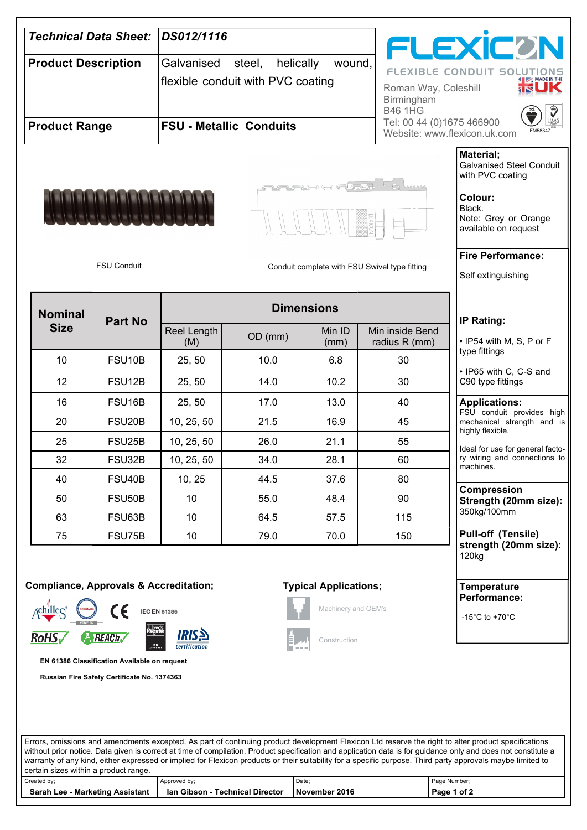

## certain sizes within a product range.

| Created by:                        | Approved by:                       | Date          | Page Number;   |  |
|------------------------------------|------------------------------------|---------------|----------------|--|
| Sarah Lee<br>- Marketing Assistant | - Technical Director<br>lan Gibson | November 2016 | of 2<br>Page 1 |  |
|                                    |                                    |               |                |  |